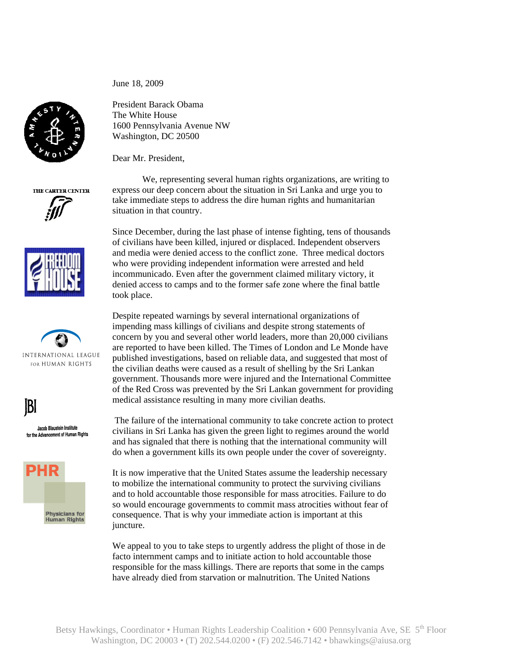President Barack Obama The White House 1600 Pennsylvania Avenue NW Washington, DC 20500

Dear Mr. President,

June 18, 2009

 We, representing several human rights organizations, are writing to express our deep concern about the situation in Sri Lanka and urge you to take immediate steps to address the dire human rights and humanitarian situation in that country.

Since December, during the last phase of intense fighting, tens of thousands of civilians have been killed, injured or displaced. Independent observers and media were denied access to the conflict zone. Three medical doctors who were providing independent information were arrested and held incommunicado. Even after the government claimed military victory, it denied access to camps and to the former safe zone where the final battle took place.

Despite repeated warnings by several international organizations of impending mass killings of civilians and despite strong statements of concern by you and several other world leaders, more than 20,000 civilians are reported to have been killed. The Times of London and Le Monde have published investigations, based on reliable data, and suggested that most of the civilian deaths were caused as a result of shelling by the Sri Lankan government. Thousands more were injured and the International Committee of the Red Cross was prevented by the Sri Lankan government for providing medical assistance resulting in many more civilian deaths.

 The failure of the international community to take concrete action to protect civilians in Sri Lanka has given the green light to regimes around the world and has signaled that there is nothing that the international community will do when a government kills its own people under the cover of sovereignty.

It is now imperative that the United States assume the leadership necessary to mobilize the international community to protect the surviving civilians and to hold accountable those responsible for mass atrocities. Failure to do so would encourage governments to commit mass atrocities without fear of consequence. That is why your immediate action is important at this juncture.

We appeal to you to take steps to urgently address the plight of those in de facto internment camps and to initiate action to hold accountable those responsible for the mass killings. There are reports that some in the camps have already died from starvation or malnutrition. The United Nations



THE CARTER CENTER





**Physicians for<br>Human Rights** 

Jacob Blaustein Institute for the Advancement of Human Rights

 $|B|$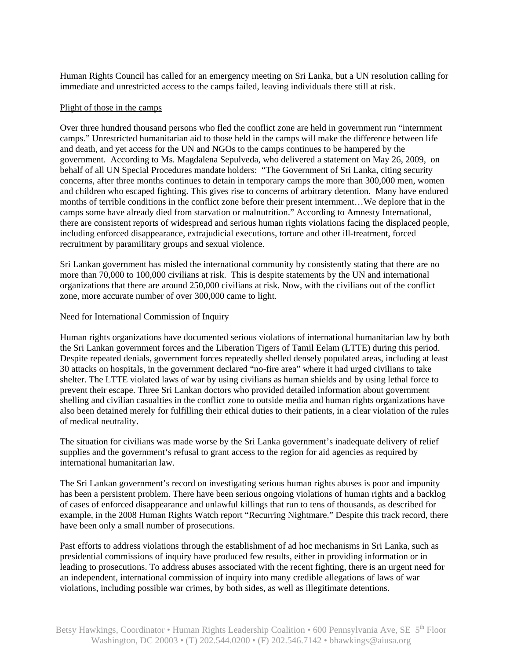Human Rights Council has called for an emergency meeting on Sri Lanka, but a UN resolution calling for immediate and unrestricted access to the camps failed, leaving individuals there still at risk.

## Plight of those in the camps

Over three hundred thousand persons who fled the conflict zone are held in government run "internment camps." Unrestricted humanitarian aid to those held in the camps will make the difference between life and death, and yet access for the UN and NGOs to the camps continues to be hampered by the government. According to Ms. Magdalena Sepulveda, who delivered a statement on May 26, 2009, on behalf of all UN Special Procedures mandate holders: "The Government of Sri Lanka, citing security concerns, after three months continues to detain in temporary camps the more than 300,000 men, women and children who escaped fighting. This gives rise to concerns of arbitrary detention. Many have endured months of terrible conditions in the conflict zone before their present internment…We deplore that in the camps some have already died from starvation or malnutrition." According to Amnesty International, there are consistent reports of widespread and serious human rights violations facing the displaced people, including enforced disappearance, extrajudicial executions, torture and other ill-treatment, forced recruitment by paramilitary groups and sexual violence.

Sri Lankan government has misled the international community by consistently stating that there are no more than 70,000 to 100,000 civilians at risk. This is despite statements by the UN and international organizations that there are around 250,000 civilians at risk. Now, with the civilians out of the conflict zone, more accurate number of over 300,000 came to light.

## Need for International Commission of Inquiry

Human rights organizations have documented serious violations of international humanitarian law by both the Sri Lankan government forces and the Liberation Tigers of Tamil Eelam (LTTE) during this period. Despite repeated denials, government forces repeatedly shelled densely populated areas, including at least 30 attacks on hospitals, in the government declared "no-fire area" where it had urged civilians to take shelter. The LTTE violated laws of war by using civilians as human shields and by using lethal force to prevent their escape. Three Sri Lankan doctors who provided detailed information about government shelling and civilian casualties in the conflict zone to outside media and human rights organizations have also been detained merely for fulfilling their ethical duties to their patients, in a clear violation of the rules of medical neutrality.

The situation for civilians was made worse by the Sri Lanka government's inadequate delivery of relief supplies and the government's refusal to grant access to the region for aid agencies as required by international humanitarian law.

The Sri Lankan government's record on investigating serious human rights abuses is poor and impunity has been a persistent problem. There have been serious ongoing violations of human rights and a backlog of cases of enforced disappearance and unlawful killings that run to tens of thousands, as described for example, in the 2008 Human Rights Watch report "Recurring Nightmare." Despite this track record, there have been only a small number of prosecutions.

Past efforts to address violations through the establishment of ad hoc mechanisms in Sri Lanka, such as presidential commissions of inquiry have produced few results, either in providing information or in leading to prosecutions. To address abuses associated with the recent fighting, there is an urgent need for an independent, international commission of inquiry into many credible allegations of laws of war violations, including possible war crimes, by both sides, as well as illegitimate detentions.